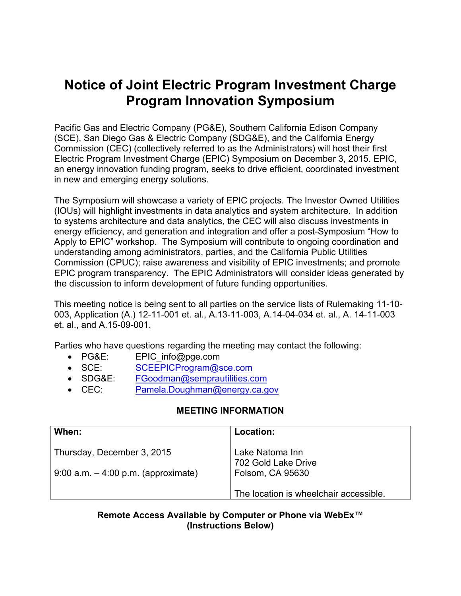# **Notice of Joint Electric Program Investment Charge Program Innovation Symposium**

Pacific Gas and Electric Company (PG&E), Southern California Edison Company (SCE), San Diego Gas & Electric Company (SDG&E), and the California Energy Commission (CEC) (collectively referred to as the Administrators) will host their first Electric Program Investment Charge (EPIC) Symposium on December 3, 2015. EPIC, an energy innovation funding program, seeks to drive efficient, coordinated investment in new and emerging energy solutions.

The Symposium will showcase a variety of EPIC projects. The Investor Owned Utilities (IOUs) will highlight investments in data analytics and system architecture. In addition to systems architecture and data analytics, the CEC will also discuss investments in energy efficiency, and generation and integration and offer a post-Symposium "How to Apply to EPIC" workshop. The Symposium will contribute to ongoing coordination and understanding among administrators, parties, and the California Public Utilities Commission (CPUC); raise awareness and visibility of EPIC investments; and promote EPIC program transparency. The EPIC Administrators will consider ideas generated by the discussion to inform development of future funding opportunities.

This meeting notice is being sent to all parties on the service lists of Rulemaking 11-10- 003, Application (A.) 12-11-001 et. al., A.13-11-003, A.14-04-034 et. al., A. 14-11-003 et. al., and A.15-09-001.

Parties who have questions regarding the meeting may contact the following:

- PG&E: EPIC info@pge.com
- SCE: SCEEPICProgram@sce.com
- SDG&E: FGoodman@semprautilities.com
- CEC: Pamela.Doughman@energy.ca.gov

#### **MEETING INFORMATION**

| When:                                                                | Location:                                                  |
|----------------------------------------------------------------------|------------------------------------------------------------|
| Thursday, December 3, 2015<br>$9:00$ a.m. $-4:00$ p.m. (approximate) | Lake Natoma Inn<br>702 Gold Lake Drive<br>Folsom, CA 95630 |
|                                                                      | The location is wheelchair accessible.                     |

#### **Remote Access Available by Computer or Phone via WebEx™ (Instructions Below)**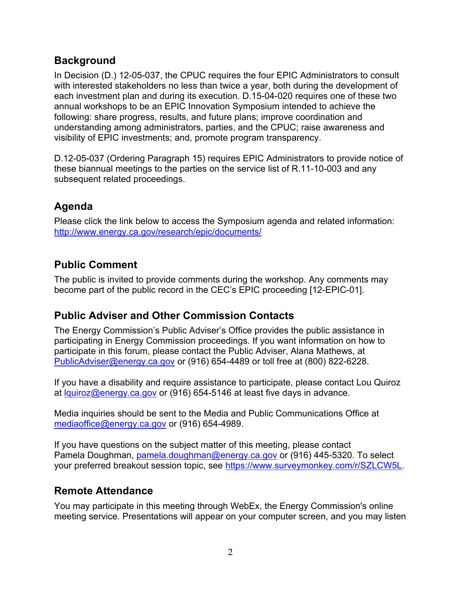### **Background**

In Decision (D.) 12-05-037, the CPUC requires the four EPIC Administrators to consult with interested stakeholders no less than twice a year, both during the development of each investment plan and during its execution. D.15-04-020 requires one of these two annual workshops to be an EPIC Innovation Symposium intended to achieve the following: share progress, results, and future plans; improve coordination and understanding among administrators, parties, and the CPUC; raise awareness and visibility of EPIC investments; and, promote program transparency.

D.12-05-037 (Ordering Paragraph 15) requires EPIC Administrators to provide notice of these biannual meetings to the parties on the service list of R.11-10-003 and any subsequent related proceedings.

## **Agenda**

Please click the link below to access the Symposium agenda and related information: http://www.energy.ca.gov/research/epic/documents/

#### **Public Comment**

The public is invited to provide comments during the workshop. Any comments may become part of the public record in the CEC's EPIC proceeding [12-EPIC-01].

## **Public Adviser and Other Commission Contacts**

The Energy Commission's Public Adviser's Office provides the public assistance in participating in Energy Commission proceedings. If you want information on how to participate in this forum, please contact the Public Adviser, Alana Mathews, at PublicAdviser@energy.ca.gov or (916) 654-4489 or toll free at (800) 822-6228.

If you have a disability and require assistance to participate, please contact Lou Quiroz at lquiroz@energy.ca.gov or (916) 654-5146 at least five days in advance.

Media inquiries should be sent to the Media and Public Communications Office at mediaoffice@energy.ca.gov or (916) 654-4989.

If you have questions on the subject matter of this meeting, please contact Pamela Doughman, pamela.doughman@energy.ca.gov or (916) 445-5320. To select your preferred breakout session topic, see https://www.surveymonkey.com/r/SZLCW5L.

#### **Remote Attendance**

You may participate in this meeting through WebEx, the Energy Commission's online meeting service. Presentations will appear on your computer screen, and you may listen